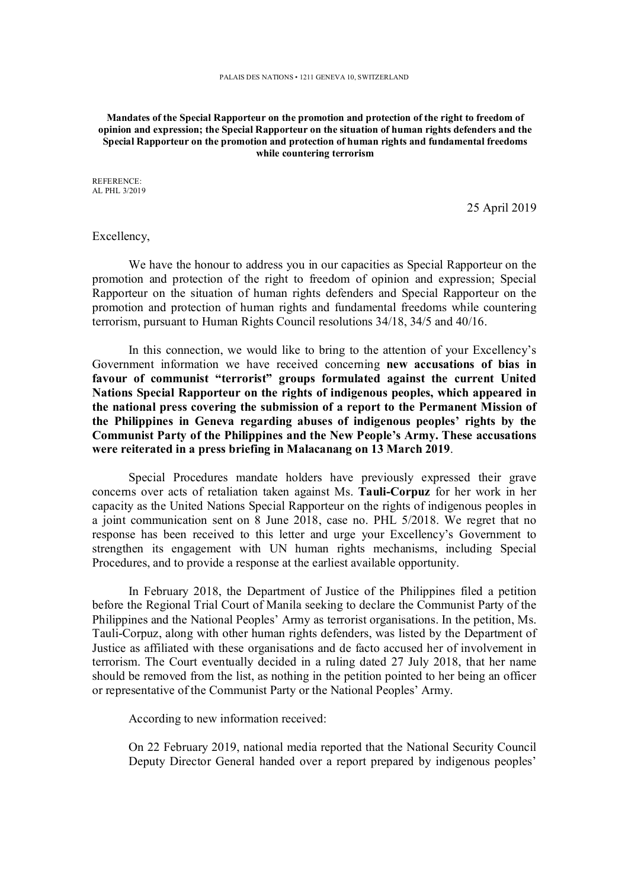## **Mandates of the Special Rapporteur on the promotion and protection of the right to freedom of opinion and expression; the Special Rapporteur on the situation of human rights defenders and the Special Rapporteur on the promotion and protection of human rights and fundamental freedoms while countering terrorism**

REFERENCE: AL PHL 3/2019

25 April 2019

Excellency,

We have the honour to address you in our capacities as Special Rapporteur on the promotion and protection of the right to freedom of opinion and expression; Special Rapporteur on the situation of human rights defenders and Special Rapporteur on the promotion and protection of human rights and fundamental freedoms while countering terrorism, pursuant to Human Rights Council resolutions 34/18, 34/5 and 40/16.

In this connection, we would like to bring to the attention of your Excellency's Government information we have received concerning **new accusations of bias in favour of communist "terrorist" groups formulated against the current United Nations Special Rapporteur on the rights of indigenous peoples, which appeared in the national press covering the submission of a report to the Permanent Mission of the Philippines in Geneva regarding abuses of indigenous peoples' rights by the Communist Party of the Philippines and the New People's Army. These accusations were reiterated in a press briefing in Malacanang on 13 March 2019**.

Special Procedures mandate holders have previously expressed their grave concerns over acts of retaliation taken against Ms. **Tauli-Corpuz** for her work in her capacity as the United Nations Special Rapporteur on the rights of indigenous peoples in a joint communication sent on 8 June 2018, case no. PHL 5/2018. We regret that no response has been received to this letter and urge your Excellency's Government to strengthen its engagement with UN human rights mechanisms, including Special Procedures, and to provide a response at the earliest available opportunity.

In February 2018, the Department of Justice of the Philippines filed a petition before the Regional Trial Court of Manila seeking to declare the Communist Party of the Philippines and the National Peoples' Army as terrorist organisations. In the petition, Ms. Tauli-Corpuz, along with other human rights defenders, was listed by the Department of Justice as affiliated with these organisations and de facto accused her of involvement in terrorism. The Court eventually decided in a ruling dated 27 July 2018, that her name should be removed from the list, as nothing in the petition pointed to her being an officer or representative of the Communist Party or the National Peoples' Army.

According to new information received:

On 22 February 2019, national media reported that the National Security Council Deputy Director General handed over a report prepared by indigenous peoples'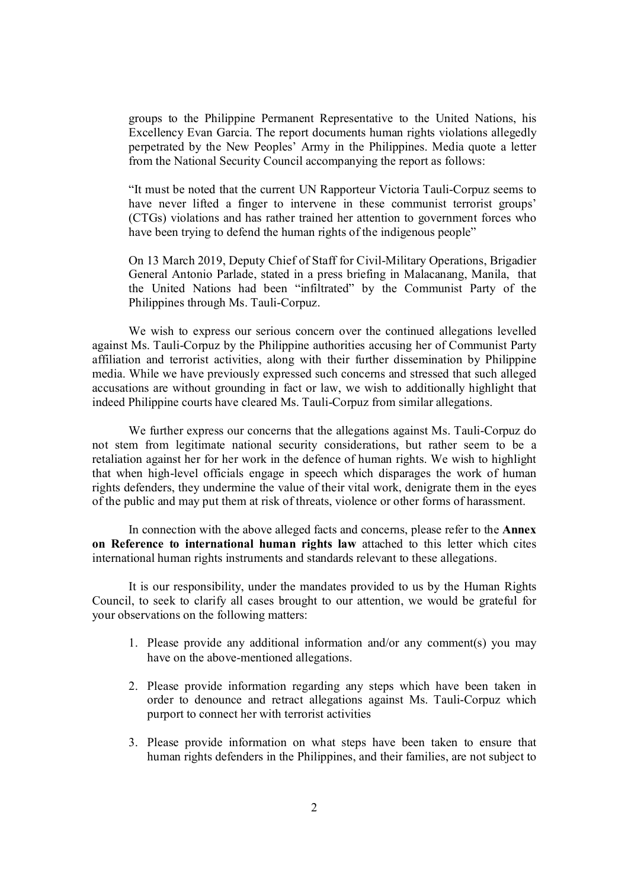groups to the Philippine Permanent Representative to the United Nations, his Excellency Evan Garcia. The report documents human rights violations allegedly perpetrated by the New Peoples' Army in the Philippines. Media quote a letter from the National Security Council accompanying the report as follows:

"It must be noted that the current UN Rapporteur Victoria Tauli-Corpuz seems to have never lifted a finger to intervene in these communist terrorist groups' (CTGs) violations and has rather trained her attention to government forces who have been trying to defend the human rights of the indigenous people"

On 13 March 2019, Deputy Chief of Staff for Civil-Military Operations, Brigadier General Antonio Parlade, stated in a press briefing in Malacanang, Manila, that the United Nations had been "infiltrated" by the Communist Party of the Philippines through Ms. Tauli-Corpuz.

We wish to express our serious concern over the continued allegations levelled against Ms. Tauli-Corpuz by the Philippine authorities accusing her of Communist Party affiliation and terrorist activities, along with their further dissemination by Philippine media. While we have previously expressed such concerns and stressed that such alleged accusations are without grounding in fact or law, we wish to additionally highlight that indeed Philippine courts have cleared Ms. Tauli-Corpuz from similar allegations.

We further express our concerns that the allegations against Ms. Tauli-Corpuz do not stem from legitimate national security considerations, but rather seem to be a retaliation against her for her work in the defence of human rights. We wish to highlight that when high-level officials engage in speech which disparages the work of human rights defenders, they undermine the value of their vital work, denigrate them in the eyes of the public and may put them at risk of threats, violence or other forms of harassment.

In connection with the above alleged facts and concerns, please refer to the **Annex on Reference to international human rights law** attached to this letter which cites international human rights instruments and standards relevant to these allegations.

It is our responsibility, under the mandates provided to us by the Human Rights Council, to seek to clarify all cases brought to our attention, we would be grateful for your observations on the following matters:

- 1. Please provide any additional information and/or any comment(s) you may have on the above-mentioned allegations.
- 2. Please provide information regarding any steps which have been taken in order to denounce and retract allegations against Ms. Tauli-Corpuz which purport to connect her with terrorist activities
- 3. Please provide information on what steps have been taken to ensure that human rights defenders in the Philippines, and their families, are not subject to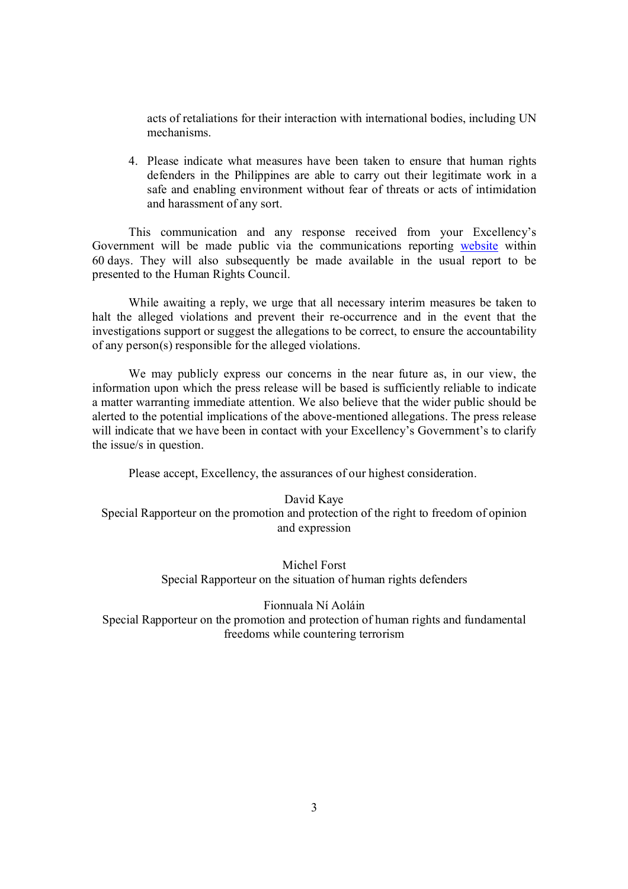acts of retaliations for their interaction with international bodies, including UN mechanisms.

4. Please indicate what measures have been taken to ensure that human rights defenders in the Philippines are able to carry out their legitimate work in a safe and enabling environment without fear of threats or acts of intimidation and harassment of any sort.

This communication and any response received from your Excellency's Government will be made public via the communications reporting website within 60 days. They will also subsequently be made available in the usual report to be presented to the Human Rights Council.

While awaiting a reply, we urge that all necessary interim measures be taken to halt the alleged violations and prevent their re-occurrence and in the event that the investigations support or suggest the allegations to be correct, to ensure the accountability of any person(s) responsible for the alleged violations.

We may publicly express our concerns in the near future as, in our view, the information upon which the press release will be based is sufficiently reliable to indicate a matter warranting immediate attention. We also believe that the wider public should be alerted to the potential implications of the above-mentioned allegations. The press release will indicate that we have been in contact with your Excellency's Government's to clarify the issue/s in question.

Please accept, Excellency, the assurances of our highest consideration.

## David Kaye Special Rapporteur on the promotion and protection of the right to freedom of opinion and expression

Michel Forst Special Rapporteur on the situation of human rights defenders

## Fionnuala Ní Aoláin

Special Rapporteur on the promotion and protection of human rights and fundamental freedoms while countering terrorism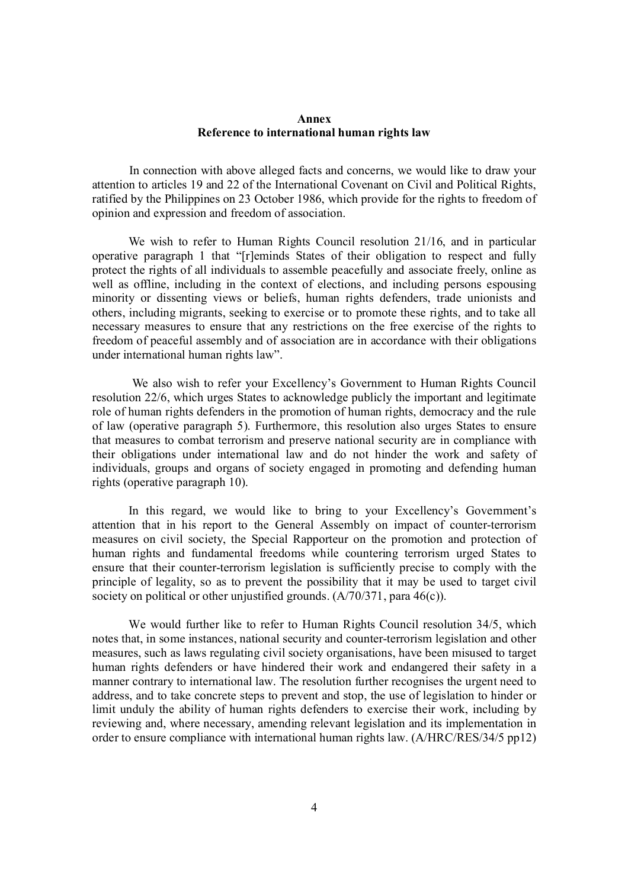## **Annex Reference to international human rights law**

In connection with above alleged facts and concerns, we would like to draw your attention to articles 19 and 22 of the International Covenant on Civil and Political Rights, ratified by the Philippines on 23 October 1986, which provide for the rights to freedom of opinion and expression and freedom of association.

We wish to refer to Human Rights Council resolution 21/16, and in particular operative paragraph 1 that "[r]eminds States of their obligation to respect and fully protect the rights of all individuals to assemble peacefully and associate freely, online as well as offline, including in the context of elections, and including persons espousing minority or dissenting views or beliefs, human rights defenders, trade unionists and others, including migrants, seeking to exercise or to promote these rights, and to take all necessary measures to ensure that any restrictions on the free exercise of the rights to freedom of peaceful assembly and of association are in accordance with their obligations under international human rights law".

 We also wish to refer your Excellency's Government to Human Rights Council resolution 22/6, which urges States to acknowledge publicly the important and legitimate role of human rights defenders in the promotion of human rights, democracy and the rule of law (operative paragraph 5). Furthermore, this resolution also urges States to ensure that measures to combat terrorism and preserve national security are in compliance with their obligations under international law and do not hinder the work and safety of individuals, groups and organs of society engaged in promoting and defending human rights (operative paragraph 10).

In this regard, we would like to bring to your Excellency's Government's attention that in his report to the General Assembly on impact of counter-terrorism measures on civil society, the Special Rapporteur on the promotion and protection of human rights and fundamental freedoms while countering terrorism urged States to ensure that their counter-terrorism legislation is sufficiently precise to comply with the principle of legality, so as to prevent the possibility that it may be used to target civil society on political or other unjustified grounds.  $(A/70/371$ , para 46(c)).

We would further like to refer to Human Rights Council resolution 34/5, which notes that, in some instances, national security and counter-terrorism legislation and other measures, such as laws regulating civil society organisations, have been misused to target human rights defenders or have hindered their work and endangered their safety in a manner contrary to international law. The resolution further recognises the urgent need to address, and to take concrete steps to prevent and stop, the use of legislation to hinder or limit unduly the ability of human rights defenders to exercise their work, including by reviewing and, where necessary, amending relevant legislation and its implementation in order to ensure compliance with international human rights law. (A/HRC/RES/34/5 pp12)